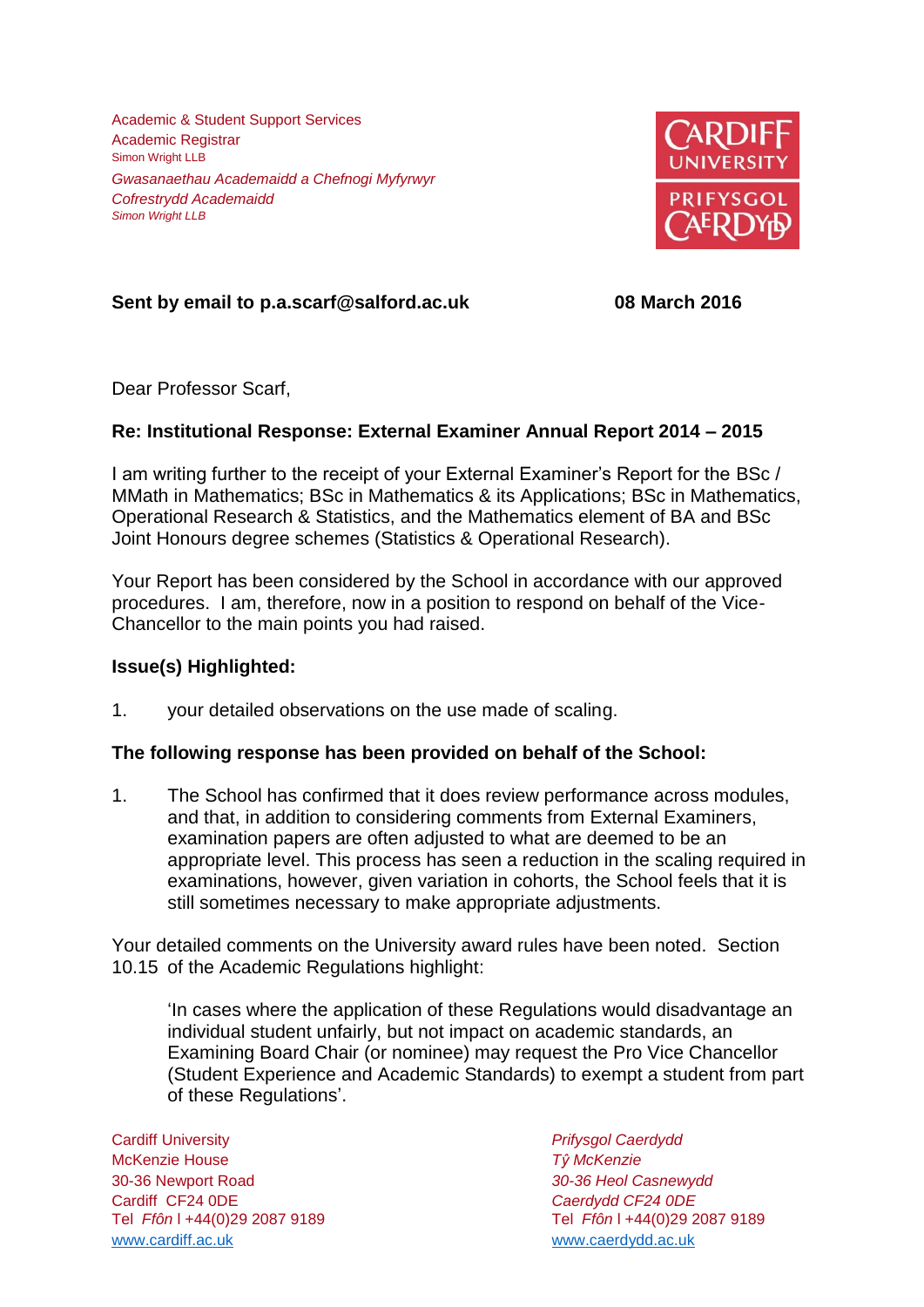Academic & Student Support Services Academic Registrar Simon Wright LLB *Gwasanaethau Academaidd a Chefnogi Myfyrwyr Cofrestrydd Academaidd Simon Wright LLB*



# **Sent by email to p.a.scarf@salford.ac.uk 08 March 2016**

Dear Professor Scarf,

### **Re: Institutional Response: External Examiner Annual Report 2014 – 2015**

I am writing further to the receipt of your External Examiner's Report for the BSc / MMath in Mathematics; BSc in Mathematics & its Applications; BSc in Mathematics, Operational Research & Statistics, and the Mathematics element of BA and BSc Joint Honours degree schemes (Statistics & Operational Research).

Your Report has been considered by the School in accordance with our approved procedures. I am, therefore, now in a position to respond on behalf of the Vice-Chancellor to the main points you had raised.

#### **Issue(s) Highlighted:**

1. your detailed observations on the use made of scaling.

## **The following response has been provided on behalf of the School:**

1. The School has confirmed that it does review performance across modules, and that, in addition to considering comments from External Examiners, examination papers are often adjusted to what are deemed to be an appropriate level. This process has seen a reduction in the scaling required in examinations, however, given variation in cohorts, the School feels that it is still sometimes necessary to make appropriate adjustments.

Your detailed comments on the University award rules have been noted. Section 10.15 of the Academic Regulations highlight:

'In cases where the application of these Regulations would disadvantage an individual student unfairly, but not impact on academic standards, an Examining Board Chair (or nominee) may request the Pro Vice Chancellor (Student Experience and Academic Standards) to exempt a student from part of these Regulations'.

Cardiff University *Prifysgol Caerdydd* McKenzie House *Tŷ McKenzie* 30-36 Newport Road *30-36 Heol Casnewydd* Cardiff CF24 0DE *Caerdydd CF24 0DE* Tel *Ffôn* l +44(0)29 2087 9189 Tel *Ffôn* l +44(0)29 2087 9189 [www.cardiff.ac.uk](http://www.cardiff.ac.uk/) www.cardiff.ac.uk